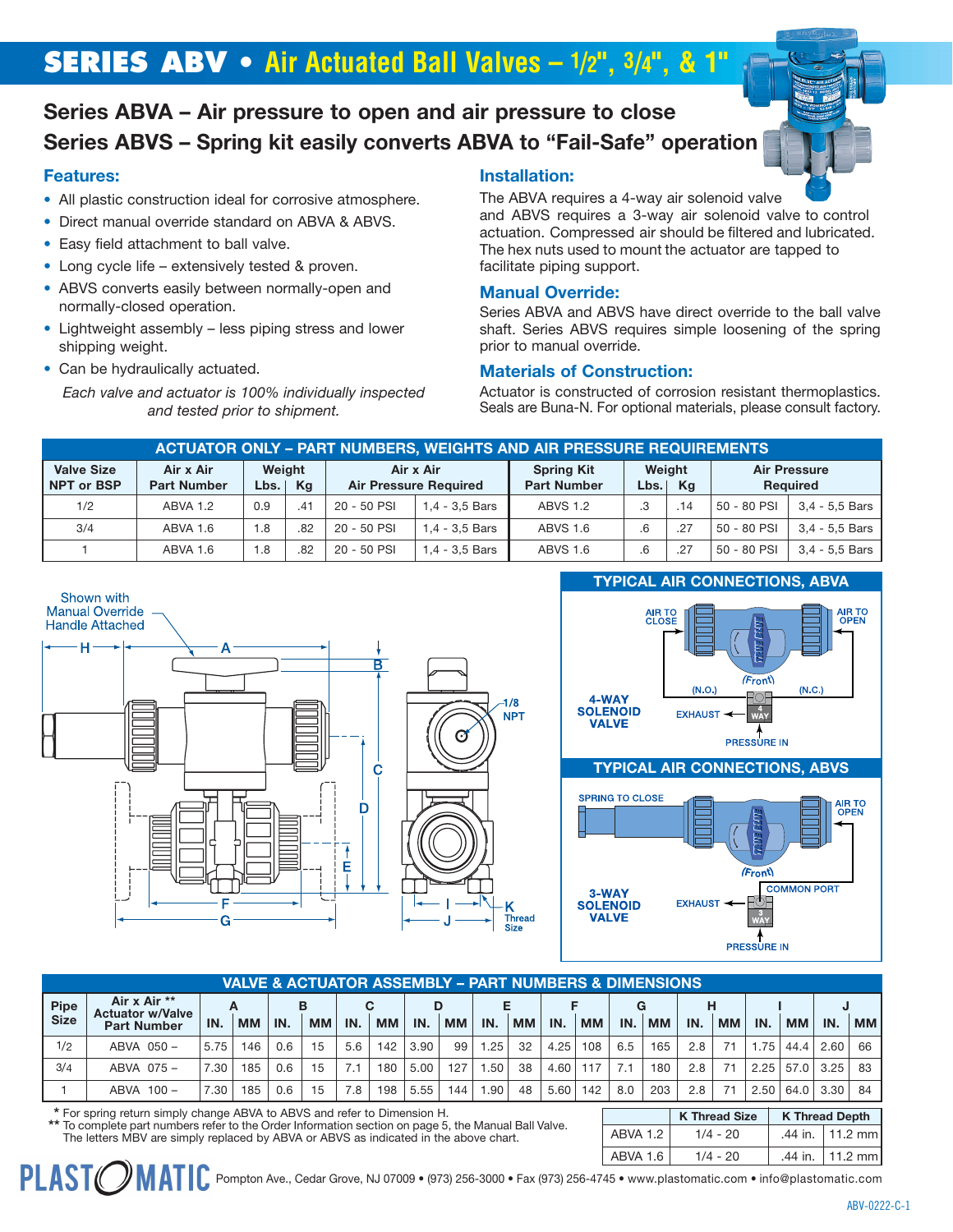# **SERIES ABV • Air Actuated Ball Valves – 1/2", 3/4", & 1"**

# **Series ABVA – Air pressure to open and air pressure to close Series ABVS – Spring kit easily converts ABVA to "Fail-Safe" operation**

## **Features:**

- All plastic construction ideal for corrosive atmosphere.
- Direct manual override standard on ABVA & ABVS.
- Easy field attachment to ball valve.
- Long cycle life extensively tested & proven.
- ABVS converts easily between normally-open and normally-closed operation.
- Lightweight assembly less piping stress and lower shipping weight.
- Can be hydraulically actuated.

*Each valve and actuator is 100% individually inspected and tested prior to shipment.*

# **Installation:**

The ABVA requires a 4-way air solenoid valve and ABVS requires a 3-way air solenoid valve to control actuation. Compressed air should be filtered and lubricated. The hex nuts used to mount the actuator are tapped to facilitate piping support.

## **Manual Override:**

Series ABVA and ABVS have direct override to the ball valve shaft. Series ABVS requires simple loosening of the spring prior to manual override.

## **Materials of Construction:**

Actuator is constructed of corrosion resistant thermoplastics. Seals are Buna-N. For optional materials, please consult factory.

| <b>ACTUATOR ONLY - PART NUMBERS, WEIGHTS AND AIR PRESSURE REQUIREMENTS</b> |                                 |                     |     |             |                                           |                                         |                |      |             |                                        |  |  |  |
|----------------------------------------------------------------------------|---------------------------------|---------------------|-----|-------------|-------------------------------------------|-----------------------------------------|----------------|------|-------------|----------------------------------------|--|--|--|
| <b>Valve Size</b><br><b>NPT or BSP</b>                                     | Air x Air<br><b>Part Number</b> | Weight<br>Lbs.   Kg |     |             | Air x Air<br><b>Air Pressure Required</b> | <b>Spring Kit</b><br><b>Part Number</b> | Weight<br>Lbs. | - Ka |             | <b>Air Pressure</b><br><b>Required</b> |  |  |  |
| 1/2                                                                        | ABVA 1.2                        | 0.9                 | .41 | 20 - 50 PSI | 1.4 - 3.5 Bars                            | <b>ABVS 1.2</b>                         | $\cdot$ 3      | .14  | 50 - 80 PSI | $3.4 - 5.5$ Bars                       |  |  |  |
| 3/4                                                                        | ABVA 1.6                        | 1.8                 | .82 | 20 - 50 PSI | 1.4 - 3.5 Bars                            | <b>ABVS 1.6</b>                         | 6.6            | .27  | 50 - 80 PSI | 3.4 - 5.5 Bars                         |  |  |  |
|                                                                            | ABVA 1.6                        | 8. ا                | .82 | 20 - 50 PSI | 1,4 - 3,5 Bars                            | <b>ABVS 1.6</b>                         | .6             | .27  | 50 - 80 PSI | $3.4 - 5.5$ Bars                       |  |  |  |



|             | <b>VALVE &amp; ACTUATOR ASSEMBLY – PART NUMBERS &amp; DIMENSIONS</b> |      |           |     |           |     |           |      |           |      |           |      |           |     |           |     |           |      |           |      |           |
|-------------|----------------------------------------------------------------------|------|-----------|-----|-----------|-----|-----------|------|-----------|------|-----------|------|-----------|-----|-----------|-----|-----------|------|-----------|------|-----------|
| <b>Pipe</b> | Air x Air **<br><b>Actuator w/Valve</b>                              |      |           |     | в         |     | С         | D    |           |      |           |      |           |     |           | н   |           |      |           |      |           |
| <b>Size</b> | <b>Part Number</b>                                                   | IN.  | <b>MM</b> | IN. | <b>MM</b> | IN. | <b>MM</b> | IN.  | <b>MM</b> | IN.  | <b>MM</b> | IN.  | <b>MM</b> | IN. | <b>MM</b> | IN. | <b>MM</b> | IN.  | <b>MM</b> | IN.  | <b>MM</b> |
| 1/2         | ABVA 050-                                                            | 5.75 | 146       | 0.6 | 15        | 5.6 | 142       | 3.90 | 99        | 1.25 | 32        | 4.25 | 108       | 6.5 | 165       | 2.8 |           | 1.75 | 44.4      | 2.60 | 66        |
| 3/4         | ABVA 075-                                                            | 7.30 | 185       | 0.6 | 15        |     | 180       | 5.00 | 127       | .50  | 38        | 4.60 | 117       |     | 180       | 2.8 |           | 2.25 | 57.0      | 3.25 | 83        |
|             | ABVA 100-                                                            | 7.30 | 185       | 0.6 | 15        | 7.8 | 198       | 5.55 | 144       | .90  | 48        | 5.60 | 142       | 8.0 | 203       | 2.8 |           | 2.50 | 64.0      | 3.30 | 84        |

**\*** For spring return simply change ABVA to ABVS and refer to Dimension H.

**PLAST** 

**\*\*** To complete part numbers refer to the Order Information section on page 5, the Manual Ball Valve. The letters MBV are simply replaced by ABVA or ABVS as indicated in the above chart.

**K Thread Size K Thread Depth** ABVA 1.2 | 1/4 - 20 | 44 in. | 11.2 mm ABVA 1.6 1/4 - 20 .44 in. 11.2 mm

1384 Pompton Ave., Cedar Grove, NJ 07009 • (973) 256-3000 • Fax (973) 256-4745 • www.plastomatic.com • info@plastomatic.com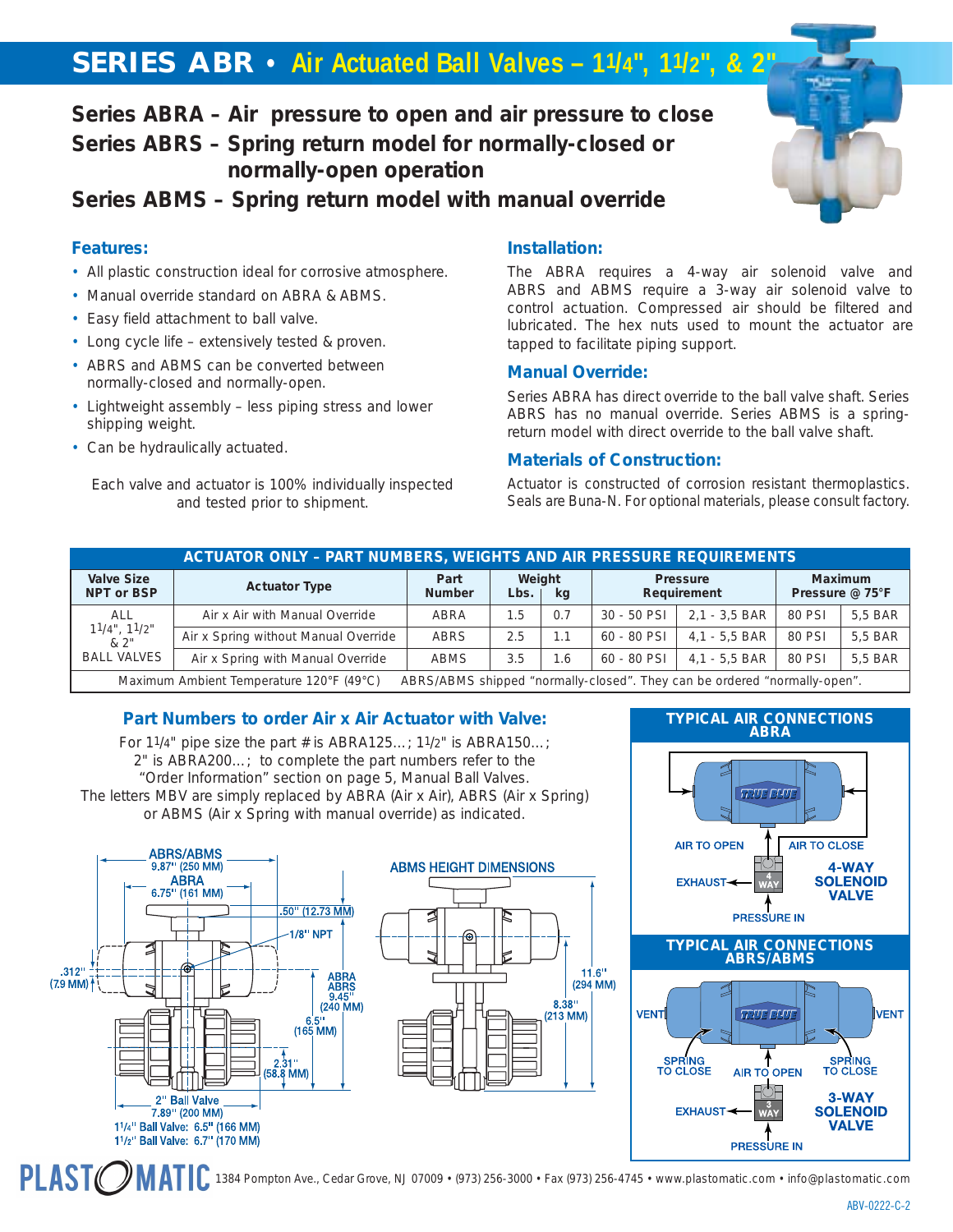# **SERIES ABR • Air Actuated Ball Valves – 11/4", 11/2", & 2"**

# **Series ABRA – Air pressure to open and air pressure to close Series ABRS – Spring return model for normally-closed or normally-open operation**

**Series ABMS – Spring return model with manual override**

# **Features:**

- All plastic construction ideal for corrosive atmosphere.
- Manual override standard on ABRA & ABMS.
- Easy field attachment to ball valve.
- Long cycle life extensively tested & proven.
- ABRS and ABMS can be converted between normally-closed and normally-open.
- Lightweight assembly less piping stress and lower shipping weight.
- Can be hydraulically actuated.

*Each valve and actuator is 100% individually inspected and tested prior to shipment.*

# **Installation:**

The ABRA requires a 4-way air solenoid valve and ABRS and ABMS require a 3-way air solenoid valve to control actuation. Compressed air should be filtered and lubricated. The hex nuts used to mount the actuator are tapped to facilitate piping support.

#### **Manual Override:**

Series ABRA has direct override to the ball valve shaft. Series ABRS has no manual override. Series ABMS is a springreturn model with direct override to the ball valve shaft.

## **Materials of Construction:**

Actuator is constructed of corrosion resistant thermoplastics. Seals are Buna-N. For optional materials, please consult factory.

| <b>ACTUATOR ONLY - PART NUMBERS, WEIGHTS AND AIR PRESSURE REQUIREMENTS</b> |                                      |                       |                |      |               |                                                                                            |                            |         |  |  |  |  |
|----------------------------------------------------------------------------|--------------------------------------|-----------------------|----------------|------|---------------|--------------------------------------------------------------------------------------------|----------------------------|---------|--|--|--|--|
| <b>Valve Size</b><br>NPT or BSP                                            | <b>Actuator Type</b>                 | Part<br><b>Number</b> | Weight<br>Lbs. | ka   |               | <b>Pressure</b><br>Requirement                                                             | Maximum<br>Pressure @ 75°F |         |  |  |  |  |
| <b>ALL</b><br>$11/4$ ", $11/2$ "<br>&2"                                    | Air x Air with Manual Override       | ABRA                  | .5             | 0.7  | $30 - 50$ PSI | 2.1 - 3.5 BAR                                                                              | 80 PSI                     | 5.5 BAR |  |  |  |  |
|                                                                            | Air x Spring without Manual Override | <b>ABRS</b>           | 2.5            | . 1  | 60 - 80 PSI   | $4.1 - 5.5$ BAR                                                                            | 80 PSI                     | 5.5 BAR |  |  |  |  |
| <b>BALL VALVES</b>                                                         | Air x Spring with Manual Override    | <b>ABMS</b>           | 3.5            | i .6 | 60 - 80 PSI   | $4.1 - 5.5$ BAR                                                                            | 80 PSI                     | 5.5 BAR |  |  |  |  |
|                                                                            | $M = 10000$                          |                       |                |      |               | A DOC/A DMC although the conseller also a direct formation that and measured the angles of |                            |         |  |  |  |  |

Maximum Ambient Temperature 120°F (49°C) ABRS/ABMS shipped "normally-closed". They can be ordered "normally-open".

# **Part Numbers to order Air x Air Actuator with Valve:**

For 11/4" pipe size the part # is ABRA125...; 11/2" is ABRA150...; 2" is ABRA200…; to complete the part numbers refer to the "Order Information" section on page 5, Manual Ball Valves. The letters MBV are simply replaced by ABRA (Air x Air), ABRS (Air x Spring) or ABMS (Air x Spring with manual override) as indicated.



**PLASTO** 





1384 Pompton Ave., Cedar Grove, NJ 07009 • (973) 256-3000 • Fax (973) 256-4745 • www.plastomatic.com • info@plastomatic.com